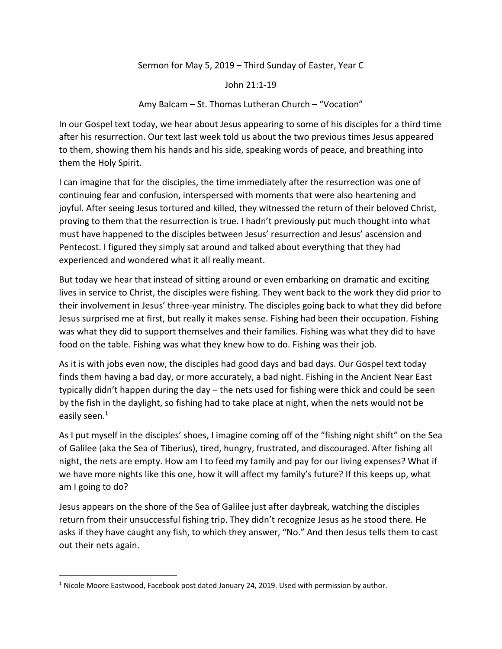## Sermon for May 5, 2019 – Third Sunday of Easter, Year C

## John 21:1-19

## Amy Balcam – St. Thomas Lutheran Church – "Vocation"

In our Gospel text today, we hear about Jesus appearing to some of his disciples for a third time after his resurrection. Our text last week told us about the two previous times Jesus appeared to them, showing them his hands and his side, speaking words of peace, and breathing into them the Holy Spirit.

I can imagine that for the disciples, the time immediately after the resurrection was one of continuing fear and confusion, interspersed with moments that were also heartening and joyful. After seeing Jesus tortured and killed, they witnessed the return of their beloved Christ, proving to them that the resurrection is true. I hadn't previously put much thought into what must have happened to the disciples between Jesus' resurrection and Jesus' ascension and Pentecost. I figured they simply sat around and talked about everything that they had experienced and wondered what it all really meant.

But today we hear that instead of sitting around or even embarking on dramatic and exciting lives in service to Christ, the disciples were fishing. They went back to the work they did prior to their involvement in Jesus' three-year ministry. The disciples going back to what they did before Jesus surprised me at first, but really it makes sense. Fishing had been their occupation. Fishing was what they did to support themselves and their families. Fishing was what they did to have food on the table. Fishing was what they knew how to do. Fishing was their job.

As it is with jobs even now, the disciples had good days and bad days. Our Gospel text today finds them having a bad day, or more accurately, a bad night. Fishing in the Ancient Near East typically didn't happen during the day – the nets used for fishing were thick and could be seen by the fish in the daylight, so fishing had to take place at night, when the nets would not be easily seen.<sup>1</sup>

As I put myself in the disciples' shoes, I imagine coming off of the "fishing night shift" on the Sea of Galilee (aka the Sea of Tiberius), tired, hungry, frustrated, and discouraged. After fishing all night, the nets are empty. How am I to feed my family and pay for our living expenses? What if we have more nights like this one, how it will affect my family's future? If this keeps up, what am I going to do?

Jesus appears on the shore of the Sea of Galilee just after daybreak, watching the disciples return from their unsuccessful fishing trip. They didn't recognize Jesus as he stood there. He asks if they have caught any fish, to which they answer, "No." And then Jesus tells them to cast out their nets again.

 $<sup>1</sup>$  Nicole Moore Eastwood, Facebook post dated January 24, 2019. Used with permission by author.</sup>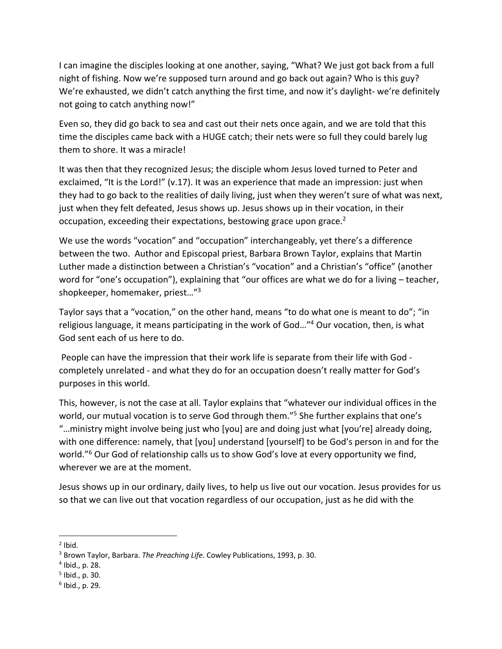I can imagine the disciples looking at one another, saying, "What? We just got back from a full night of fishing. Now we're supposed turn around and go back out again? Who is this guy? We're exhausted, we didn't catch anything the first time, and now it's daylight- we're definitely not going to catch anything now!"

Even so, they did go back to sea and cast out their nets once again, and we are told that this time the disciples came back with a HUGE catch; their nets were so full they could barely lug them to shore. It was a miracle!

It was then that they recognized Jesus; the disciple whom Jesus loved turned to Peter and exclaimed, "It is the Lord!" (v.17). It was an experience that made an impression: just when they had to go back to the realities of daily living, just when they weren't sure of what was next, just when they felt defeated, Jesus shows up. Jesus shows up in their vocation, in their occupation, exceeding their expectations, bestowing grace upon grace.<sup>2</sup>

We use the words "vocation" and "occupation" interchangeably, yet there's a difference between the two. Author and Episcopal priest, Barbara Brown Taylor, explains that Martin Luther made a distinction between a Christian's "vocation" and a Christian's "office" (another word for "one's occupation"), explaining that "our offices are what we do for a living – teacher, shopkeeper, homemaker, priest…"3

Taylor says that a "vocation," on the other hand, means "to do what one is meant to do"; "in religious language, it means participating in the work of God…"4 Our vocation, then, is what God sent each of us here to do.

People can have the impression that their work life is separate from their life with God completely unrelated - and what they do for an occupation doesn't really matter for God's purposes in this world.

This, however, is not the case at all. Taylor explains that "whatever our individual offices in the world, our mutual vocation is to serve God through them."<sup>5</sup> She further explains that one's "…ministry might involve being just who [you] are and doing just what [you're] already doing, with one difference: namely, that [you] understand [yourself] to be God's person in and for the world."<sup>6</sup> Our God of relationship calls us to show God's love at every opportunity we find, wherever we are at the moment.

Jesus shows up in our ordinary, daily lives, to help us live out our vocation. Jesus provides for us so that we can live out that vocation regardless of our occupation, just as he did with the

 $<sup>2</sup>$  Ibid.</sup>

<sup>3</sup> Brown Taylor, Barbara. *The Preaching Life*. Cowley Publications, 1993, p. 30.

 $4$  Ibid., p. 28.

 $<sup>5</sup>$  Ibid., p. 30.</sup>

 $6$  Ibid., p. 29.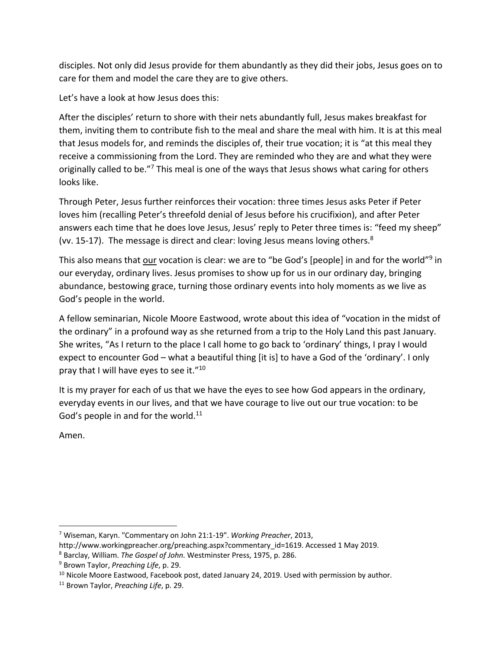disciples. Not only did Jesus provide for them abundantly as they did their jobs, Jesus goes on to care for them and model the care they are to give others.

Let's have a look at how Jesus does this:

After the disciples' return to shore with their nets abundantly full, Jesus makes breakfast for them, inviting them to contribute fish to the meal and share the meal with him. It is at this meal that Jesus models for, and reminds the disciples of, their true vocation; it is "at this meal they receive a commissioning from the Lord. They are reminded who they are and what they were originally called to be."<sup>7</sup> This meal is one of the ways that Jesus shows what caring for others looks like.

Through Peter, Jesus further reinforces their vocation: three times Jesus asks Peter if Peter loves him (recalling Peter's threefold denial of Jesus before his crucifixion), and after Peter answers each time that he does love Jesus, Jesus' reply to Peter three times is: "feed my sheep" (vv. 15-17). The message is direct and clear: loving Jesus means loving others.<sup>8</sup>

This also means that our vocation is clear: we are to "be God's [people] in and for the world"<sup>9</sup> in our everyday, ordinary lives. Jesus promises to show up for us in our ordinary day, bringing abundance, bestowing grace, turning those ordinary events into holy moments as we live as God's people in the world.

A fellow seminarian, Nicole Moore Eastwood, wrote about this idea of "vocation in the midst of the ordinary" in a profound way as she returned from a trip to the Holy Land this past January. She writes, "As I return to the place I call home to go back to 'ordinary' things, I pray I would expect to encounter God – what a beautiful thing [it is] to have a God of the 'ordinary'. I only pray that I will have eyes to see it."<sup>10</sup>

It is my prayer for each of us that we have the eyes to see how God appears in the ordinary, everyday events in our lives, and that we have courage to live out our true vocation: to be God's people in and for the world. $11$ 

Amen.

 <sup>7</sup> Wiseman, Karyn. "Commentary on John 21:1-19". *Working Preacher*, 2013,

http://www.workingpreacher.org/preaching.aspx?commentary\_id=1619. Accessed 1 May 2019.

<sup>8</sup> Barclay, William. *The Gospel of John*. Westminster Press, 1975, p. 286.

<sup>9</sup> Brown Taylor, *Preaching Life*, p. 29.

<sup>&</sup>lt;sup>10</sup> Nicole Moore Eastwood, Facebook post, dated January 24, 2019. Used with permission by author.

<sup>11</sup> Brown Taylor, *Preaching Life*, p. 29.